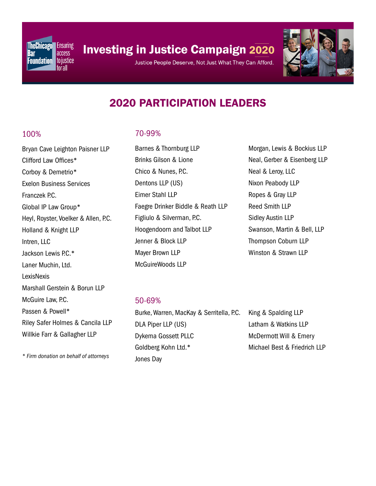

# **Investing in Justice Campaign 2020**

Justice People Deserve, Not Just What They Can Afford.



# 2020 PARTICIPATION LEADERS

#### 100%

Bryan Cave Leighton Paisner LLP Clifford Law Offices\* Corboy & Demetrio\* Exelon Business Services Franczek P.C. Global IP Law Group\* Heyl, Royster, Voelker & Allen, P.C. Holland & Knight LLP Intren, LLC Jackson Lewis P.C.\* Laner Muchin, Ltd. **LexisNexis** Marshall Gerstein & Borun LLP McGuire Law, P.C. Passen & Powell\* Riley Safer Holmes & Cancila LLP Willkie Farr & Gallagher LLP

70-99%

Barnes & Thornburg LLP Brinks Gilson & Lione Chico & Nunes, P.C. Dentons LLP (US) Eimer Stahl LLP Faegre Drinker Biddle & Reath LLP Figliulo & Silverman, P.C. Hoogendoorn and Talbot LLP Jenner & Block LLP Mayer Brown LLP McGuireWoods LLP

Morgan, Lewis & Bockius LLP Neal, Gerber & Eisenberg LLP Neal & Leroy, LLC Nixon Peabody LLP Ropes & Gray LLP Reed Smith LLP Sidley Austin LLP Swanson, Martin & Bell, LLP Thompson Coburn LLP Winston & Strawn LLP

#### 50-69%

Burke, Warren, MacKay & Serritella, P.C. DLA Piper LLP (US) Dykema Gossett PLLC Goldberg Kohn Ltd.\* Jones Day

King & Spalding LLP Latham & Watkins LLP McDermott Will & Emery Michael Best & Friedrich LLP

*\* Firm donation on behalf of attorneys*